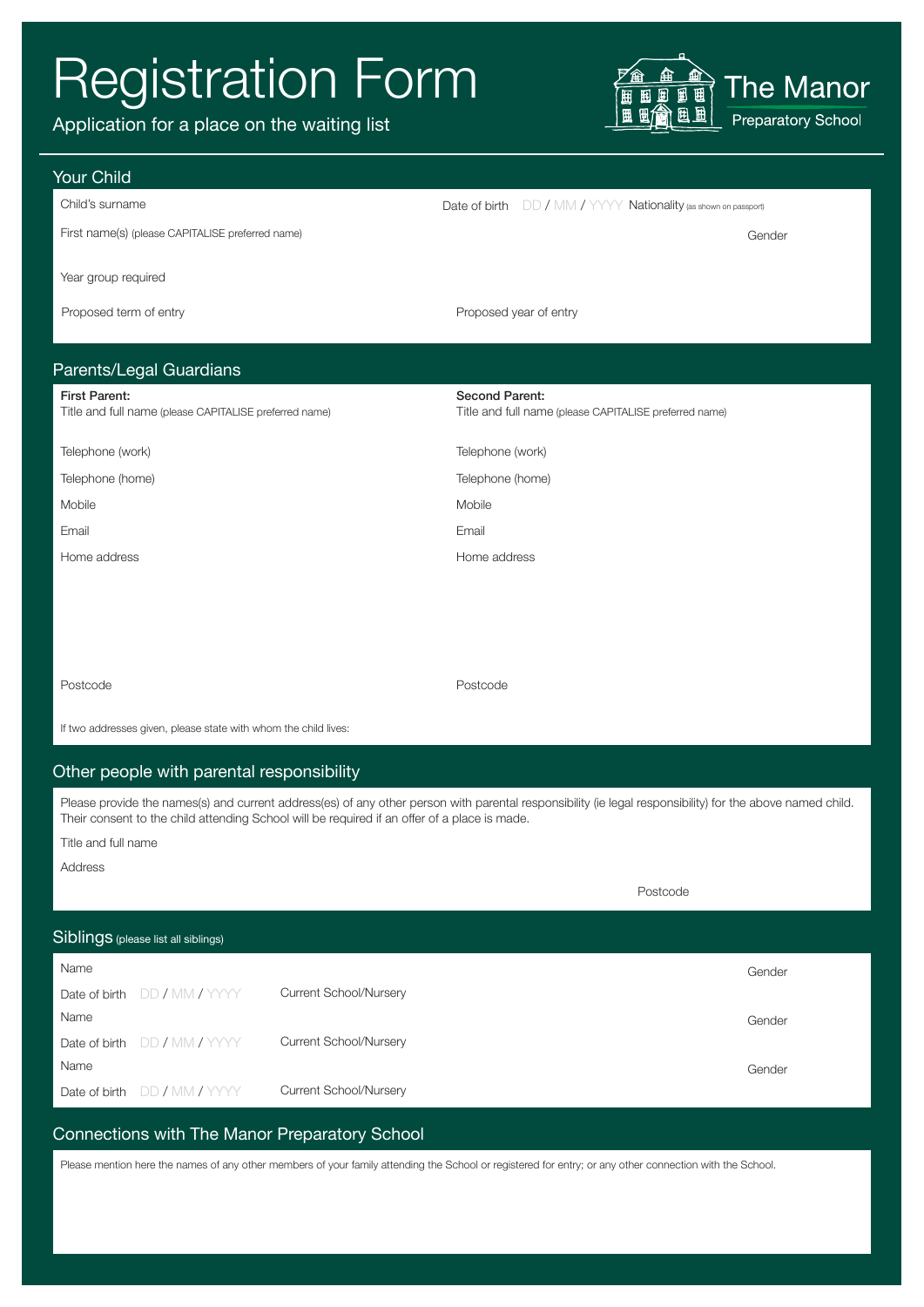# Registration Form

Application for a place on the waiting list



Date of birth  $DD / MM / YYYY$  Nationality (as shown on passport)

#### Your Child

|  | Child's surname |
|--|-----------------|
|--|-----------------|

First name(s) (please CAPITALISE preferred name) Gender

Year group required

Proposed term of entry entry and the Proposed year of entry

# Parents/Legal Guardians

| Farents/Legar Quarularis -                                                     |                                                                                 |  |  |
|--------------------------------------------------------------------------------|---------------------------------------------------------------------------------|--|--|
| <b>First Parent:</b><br>Title and full name (please CAPITALISE preferred name) | <b>Second Parent:</b><br>Title and full name (please CAPITALISE preferred name) |  |  |
| Telephone (work)                                                               | Telephone (work)                                                                |  |  |
| Telephone (home)                                                               | Telephone (home)                                                                |  |  |
| Mobile                                                                         | Mobile                                                                          |  |  |
| Email                                                                          | Email                                                                           |  |  |
| Home address                                                                   | Home address                                                                    |  |  |
|                                                                                |                                                                                 |  |  |
|                                                                                |                                                                                 |  |  |

Postcode **Postcode** Postcode Postcode Postcode Postcode Postcode Postcode Postcode Postcode Postcode Postcode Postcode Postcode Postcode Postcode Postcode Postcode Postcode Postcode Postcode Postcode Postcode Postcode Post

If two addresses given, please state with whom the child lives:

## Other people with parental responsibility

Please provide the names(s) and current address(es) of any other person with parental responsibility (ie legal responsibility) for the above named child. Their consent to the child attending School will be required if an offer of a place is made.

Title and full name

Address

|                                     |                               | Postcode |
|-------------------------------------|-------------------------------|----------|
| Siblings (please list all siblings) |                               |          |
| Name                                |                               | Gender   |
| DD / MM / YYYY<br>Date of birth     | <b>Current School/Nursery</b> |          |
| Name                                |                               | Gender   |
| DD / MM / YYYY<br>Date of birth     | Current School/Nursery        |          |
| Name                                |                               | Gender   |
| Date of birth DD / MM / YYYY        | <b>Current School/Nursery</b> |          |

# Connections with The Manor Preparatory School

Please mention here the names of any other members of your family attending the School or registered for entry; or any other connection with the School.